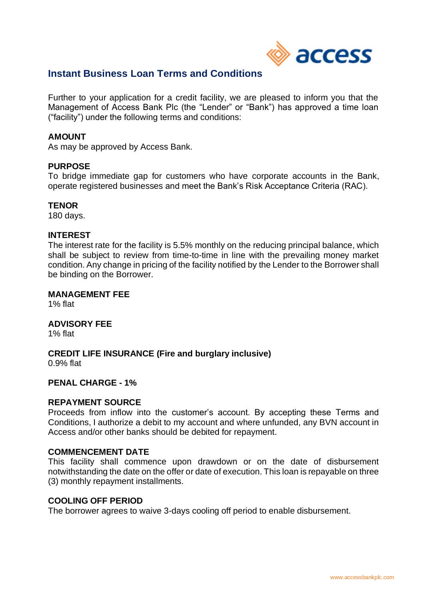

# **Instant Business Loan Terms and Conditions**

Further to your application for a credit facility, we are pleased to inform you that the Management of Access Bank Plc (the "Lender" or "Bank") has approved a time loan ("facility") under the following terms and conditions:

### **AMOUNT**

As may be approved by Access Bank.

#### **PURPOSE**

To bridge immediate gap for customers who have corporate accounts in the Bank, operate registered businesses and meet the Bank's Risk Acceptance Criteria (RAC).

### **TENOR**

180 days.

#### **INTEREST**

The interest rate for the facility is 5.5% monthly on the reducing principal balance, which shall be subject to review from time-to-time in line with the prevailing money market condition. Any change in pricing of the facility notified by the Lender to the Borrower shall be binding on the Borrower.

## **MANAGEMENT FEE**

1% flat

# **ADVISORY FEE**

1% flat

## **CREDIT LIFE INSURANCE (Fire and burglary inclusive)**

0.9% flat

#### **PENAL CHARGE - 1%**

#### **REPAYMENT SOURCE**

Proceeds from inflow into the customer's account. By accepting these Terms and Conditions, I authorize a debit to my account and where unfunded, any BVN account in Access and/or other banks should be debited for repayment.

### **COMMENCEMENT DATE**

This facility shall commence upon drawdown or on the date of disbursement notwithstanding the date on the offer or date of execution. This loan is repayable on three (3) monthly repayment installments.

#### **COOLING OFF PERIOD**

The borrower agrees to waive 3-days cooling off period to enable disbursement.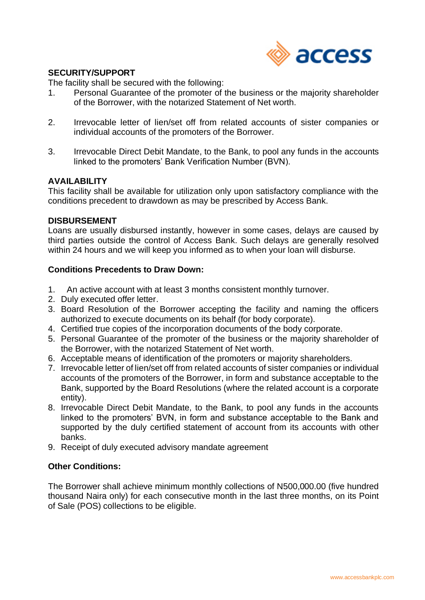

## **SECURITY/SUPPORT**

The facility shall be secured with the following:

- 1. Personal Guarantee of the promoter of the business or the majority shareholder of the Borrower, with the notarized Statement of Net worth.
- 2. Irrevocable letter of lien/set off from related accounts of sister companies or individual accounts of the promoters of the Borrower.
- 3. Irrevocable Direct Debit Mandate, to the Bank, to pool any funds in the accounts linked to the promoters' Bank Verification Number (BVN).

### **AVAILABILITY**

This facility shall be available for utilization only upon satisfactory compliance with the conditions precedent to drawdown as may be prescribed by Access Bank.

### **DISBURSEMENT**

Loans are usually disbursed instantly, however in some cases, delays are caused by third parties outside the control of Access Bank. Such delays are generally resolved within 24 hours and we will keep you informed as to when your loan will disburse.

## **Conditions Precedents to Draw Down:**

- 1. An active account with at least 3 months consistent monthly turnover.
- 2. Duly executed offer letter.
- 3. Board Resolution of the Borrower accepting the facility and naming the officers authorized to execute documents on its behalf (for body corporate).
- 4. Certified true copies of the incorporation documents of the body corporate.
- 5. Personal Guarantee of the promoter of the business or the majority shareholder of the Borrower, with the notarized Statement of Net worth.
- 6. Acceptable means of identification of the promoters or majority shareholders.
- 7. Irrevocable letter of lien/set off from related accounts of sister companies or individual accounts of the promoters of the Borrower, in form and substance acceptable to the Bank, supported by the Board Resolutions (where the related account is a corporate entity).
- 8. Irrevocable Direct Debit Mandate, to the Bank, to pool any funds in the accounts linked to the promoters' BVN, in form and substance acceptable to the Bank and supported by the duly certified statement of account from its accounts with other banks.
- 9. Receipt of duly executed advisory mandate agreement

## **Other Conditions:**

The Borrower shall achieve minimum monthly collections of N500,000.00 (five hundred thousand Naira only) for each consecutive month in the last three months, on its Point of Sale (POS) collections to be eligible.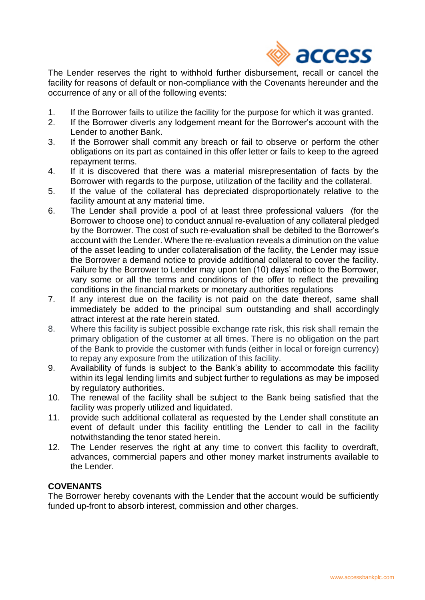

The Lender reserves the right to withhold further disbursement, recall or cancel the facility for reasons of default or non-compliance with the Covenants hereunder and the occurrence of any or all of the following events:

- 1. If the Borrower fails to utilize the facility for the purpose for which it was granted.
- 2. If the Borrower diverts any lodgement meant for the Borrower's account with the Lender to another Bank.
- 3. If the Borrower shall commit any breach or fail to observe or perform the other obligations on its part as contained in this offer letter or fails to keep to the agreed repayment terms.
- 4. If it is discovered that there was a material misrepresentation of facts by the Borrower with regards to the purpose, utilization of the facility and the collateral.
- 5. If the value of the collateral has depreciated disproportionately relative to the facility amount at any material time.
- 6. The Lender shall provide a pool of at least three professional valuers (for the Borrower to choose one) to conduct annual re-evaluation of any collateral pledged by the Borrower. The cost of such re-evaluation shall be debited to the Borrower's account with the Lender. Where the re-evaluation reveals a diminution on the value of the asset leading to under collateralisation of the facility, the Lender may issue the Borrower a demand notice to provide additional collateral to cover the facility. Failure by the Borrower to Lender may upon ten (10) days' notice to the Borrower, vary some or all the terms and conditions of the offer to reflect the prevailing conditions in the financial markets or monetary authorities regulations
- 7. If any interest due on the facility is not paid on the date thereof, same shall immediately be added to the principal sum outstanding and shall accordingly attract interest at the rate herein stated.
- 8. Where this facility is subject possible exchange rate risk, this risk shall remain the primary obligation of the customer at all times. There is no obligation on the part of the Bank to provide the customer with funds (either in local or foreign currency) to repay any exposure from the utilization of this facility.
- 9. Availability of funds is subject to the Bank's ability to accommodate this facility within its legal lending limits and subject further to regulations as may be imposed by regulatory authorities.
- 10. The renewal of the facility shall be subject to the Bank being satisfied that the facility was properly utilized and liquidated.
- 11. provide such additional collateral as requested by the Lender shall constitute an event of default under this facility entitling the Lender to call in the facility notwithstanding the tenor stated herein.
- 12. The Lender reserves the right at any time to convert this facility to overdraft, advances, commercial papers and other money market instruments available to the Lender.

# **COVENANTS**

The Borrower hereby covenants with the Lender that the account would be sufficiently funded up-front to absorb interest, commission and other charges.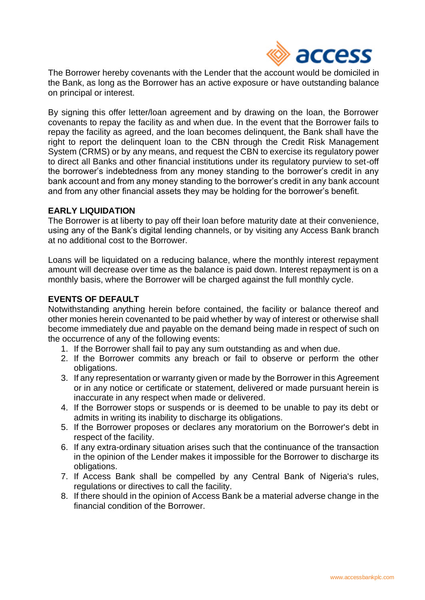

The Borrower hereby covenants with the Lender that the account would be domiciled in the Bank, as long as the Borrower has an active exposure or have outstanding balance on principal or interest.

By signing this offer letter/loan agreement and by drawing on the loan, the Borrower covenants to repay the facility as and when due. In the event that the Borrower fails to repay the facility as agreed, and the loan becomes delinquent, the Bank shall have the right to report the delinquent loan to the CBN through the Credit Risk Management System (CRMS) or by any means, and request the CBN to exercise its regulatory power to direct all Banks and other financial institutions under its regulatory purview to set-off the borrower's indebtedness from any money standing to the borrower's credit in any bank account and from any money standing to the borrower's credit in any bank account and from any other financial assets they may be holding for the borrower's benefit.

## **EARLY LIQUIDATION**

The Borrower is at liberty to pay off their loan before maturity date at their convenience, using any of the Bank's digital lending channels, or by visiting any Access Bank branch at no additional cost to the Borrower.

Loans will be liquidated on a reducing balance, where the monthly interest repayment amount will decrease over time as the balance is paid down. Interest repayment is on a monthly basis, where the Borrower will be charged against the full monthly cycle.

## **EVENTS OF DEFAULT**

Notwithstanding anything herein before contained, the facility or balance thereof and other monies herein covenanted to be paid whether by way of interest or otherwise shall become immediately due and payable on the demand being made in respect of such on the occurrence of any of the following events:

- 1. If the Borrower shall fail to pay any sum outstanding as and when due.
- 2. If the Borrower commits any breach or fail to observe or perform the other obligations.
- 3. If any representation or warranty given or made by the Borrower in this Agreement or in any notice or certificate or statement, delivered or made pursuant herein is inaccurate in any respect when made or delivered.
- 4. If the Borrower stops or suspends or is deemed to be unable to pay its debt or admits in writing its inability to discharge its obligations.
- 5. If the Borrower proposes or declares any moratorium on the Borrower's debt in respect of the facility.
- 6. If any extra-ordinary situation arises such that the continuance of the transaction in the opinion of the Lender makes it impossible for the Borrower to discharge its obligations.
- 7. If Access Bank shall be compelled by any Central Bank of Nigeria's rules, regulations or directives to call the facility.
- 8. If there should in the opinion of Access Bank be a material adverse change in the financial condition of the Borrower.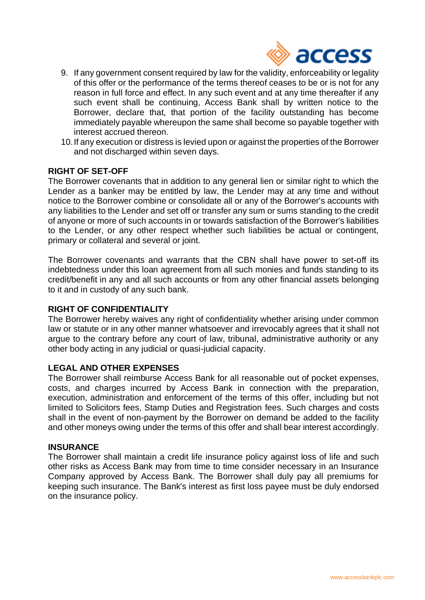

- 9. If any government consent required by law for the validity, enforceability or legality of this offer or the performance of the terms thereof ceases to be or is not for any reason in full force and effect. In any such event and at any time thereafter if any such event shall be continuing, Access Bank shall by written notice to the Borrower, declare that, that portion of the facility outstanding has become immediately payable whereupon the same shall become so payable together with interest accrued thereon.
- 10.If any execution or distress is levied upon or against the properties of the Borrower and not discharged within seven days.

## **RIGHT OF SET-OFF**

The Borrower covenants that in addition to any general lien or similar right to which the Lender as a banker may be entitled by law, the Lender may at any time and without notice to the Borrower combine or consolidate all or any of the Borrower's accounts with any liabilities to the Lender and set off or transfer any sum or sums standing to the credit of anyone or more of such accounts in or towards satisfaction of the Borrower's liabilities to the Lender, or any other respect whether such liabilities be actual or contingent, primary or collateral and several or joint.

The Borrower covenants and warrants that the CBN shall have power to set-off its indebtedness under this loan agreement from all such monies and funds standing to its credit/benefit in any and all such accounts or from any other financial assets belonging to it and in custody of any such bank.

## **RIGHT OF CONFIDENTIALITY**

The Borrower hereby waives any right of confidentiality whether arising under common law or statute or in any other manner whatsoever and irrevocably agrees that it shall not argue to the contrary before any court of law, tribunal, administrative authority or any other body acting in any judicial or quasi-judicial capacity.

#### **LEGAL AND OTHER EXPENSES**

The Borrower shall reimburse Access Bank for all reasonable out of pocket expenses, costs, and charges incurred by Access Bank in connection with the preparation, execution, administration and enforcement of the terms of this offer, including but not limited to Solicitors fees, Stamp Duties and Registration fees. Such charges and costs shall in the event of non-payment by the Borrower on demand be added to the facility and other moneys owing under the terms of this offer and shall bear interest accordingly.

#### **INSURANCE**

The Borrower shall maintain a credit life insurance policy against loss of life and such other risks as Access Bank may from time to time consider necessary in an Insurance Company approved by Access Bank. The Borrower shall duly pay all premiums for keeping such insurance. The Bank's interest as first loss payee must be duly endorsed on the insurance policy.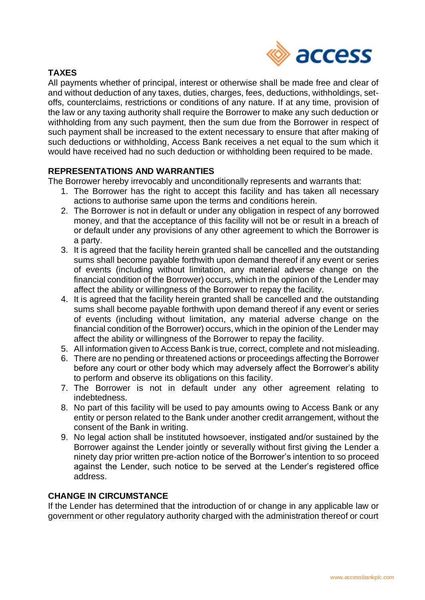

# **TAXES**

All payments whether of principal, interest or otherwise shall be made free and clear of and without deduction of any taxes, duties, charges, fees, deductions, withholdings, setoffs, counterclaims, restrictions or conditions of any nature. If at any time, provision of the law or any taxing authority shall require the Borrower to make any such deduction or withholding from any such payment, then the sum due from the Borrower in respect of such payment shall be increased to the extent necessary to ensure that after making of such deductions or withholding, Access Bank receives a net equal to the sum which it would have received had no such deduction or withholding been required to be made.

# **REPRESENTATIONS AND WARRANTIES**

The Borrower hereby irrevocably and unconditionally represents and warrants that:

- 1. The Borrower has the right to accept this facility and has taken all necessary actions to authorise same upon the terms and conditions herein.
- 2. The Borrower is not in default or under any obligation in respect of any borrowed money, and that the acceptance of this facility will not be or result in a breach of or default under any provisions of any other agreement to which the Borrower is a party.
- 3. It is agreed that the facility herein granted shall be cancelled and the outstanding sums shall become payable forthwith upon demand thereof if any event or series of events (including without limitation, any material adverse change on the financial condition of the Borrower) occurs, which in the opinion of the Lender may affect the ability or willingness of the Borrower to repay the facility.
- 4. It is agreed that the facility herein granted shall be cancelled and the outstanding sums shall become payable forthwith upon demand thereof if any event or series of events (including without limitation, any material adverse change on the financial condition of the Borrower) occurs, which in the opinion of the Lender may affect the ability or willingness of the Borrower to repay the facility.
- 5. All information given to Access Bank is true, correct, complete and not misleading.
- 6. There are no pending or threatened actions or proceedings affecting the Borrower before any court or other body which may adversely affect the Borrower's ability to perform and observe its obligations on this facility.
- 7. The Borrower is not in default under any other agreement relating to indebtedness.
- 8. No part of this facility will be used to pay amounts owing to Access Bank or any entity or person related to the Bank under another credit arrangement, without the consent of the Bank in writing.
- 9. No legal action shall be instituted howsoever, instigated and/or sustained by the Borrower against the Lender jointly or severally without first giving the Lender a ninety day prior written pre-action notice of the Borrower's intention to so proceed against the Lender, such notice to be served at the Lender's registered office address.

# **CHANGE IN CIRCUMSTANCE**

If the Lender has determined that the introduction of or change in any applicable law or government or other regulatory authority charged with the administration thereof or court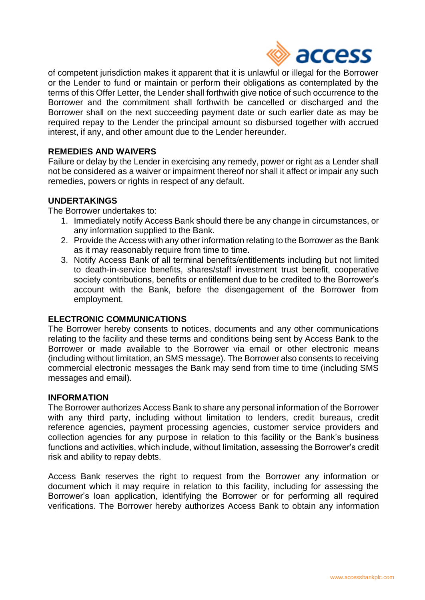

of competent jurisdiction makes it apparent that it is unlawful or illegal for the Borrower or the Lender to fund or maintain or perform their obligations as contemplated by the terms of this Offer Letter, the Lender shall forthwith give notice of such occurrence to the Borrower and the commitment shall forthwith be cancelled or discharged and the Borrower shall on the next succeeding payment date or such earlier date as may be required repay to the Lender the principal amount so disbursed together with accrued interest, if any, and other amount due to the Lender hereunder.

## **REMEDIES AND WAIVERS**

Failure or delay by the Lender in exercising any remedy, power or right as a Lender shall not be considered as a waiver or impairment thereof nor shall it affect or impair any such remedies, powers or rights in respect of any default.

## **UNDERTAKINGS**

The Borrower undertakes to:

- 1. Immediately notify Access Bank should there be any change in circumstances, or any information supplied to the Bank.
- 2. Provide the Access with any other information relating to the Borrower as the Bank as it may reasonably require from time to time.
- 3. Notify Access Bank of all terminal benefits/entitlements including but not limited to death-in-service benefits, shares/staff investment trust benefit, cooperative society contributions, benefits or entitlement due to be credited to the Borrower's account with the Bank, before the disengagement of the Borrower from employment.

#### **ELECTRONIC COMMUNICATIONS**

The Borrower hereby consents to notices, documents and any other communications relating to the facility and these terms and conditions being sent by Access Bank to the Borrower or made available to the Borrower via email or other electronic means (including without limitation, an SMS message). The Borrower also consents to receiving commercial electronic messages the Bank may send from time to time (including SMS messages and email).

#### **INFORMATION**

The Borrower authorizes Access Bank to share any personal information of the Borrower with any third party, including without limitation to lenders, credit bureaus, credit reference agencies, payment processing agencies, customer service providers and collection agencies for any purpose in relation to this facility or the Bank's business functions and activities, which include, without limitation, assessing the Borrower's credit risk and ability to repay debts.

Access Bank reserves the right to request from the Borrower any information or document which it may require in relation to this facility, including for assessing the Borrower's loan application, identifying the Borrower or for performing all required verifications. The Borrower hereby authorizes Access Bank to obtain any information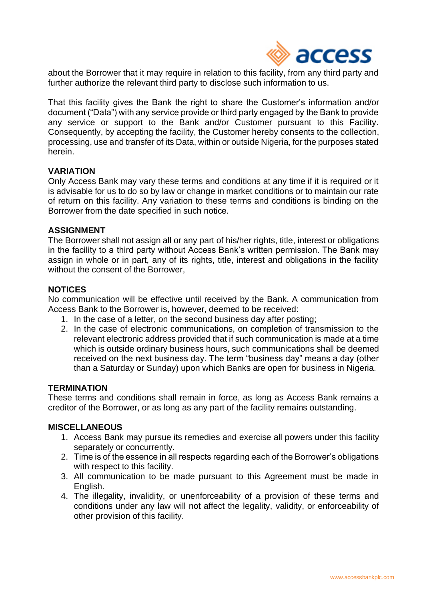

about the Borrower that it may require in relation to this facility, from any third party and further authorize the relevant third party to disclose such information to us.

That this facility gives the Bank the right to share the Customer's information and/or document ("Data") with any service provide or third party engaged by the Bank to provide any service or support to the Bank and/or Customer pursuant to this Facility. Consequently, by accepting the facility, the Customer hereby consents to the collection, processing, use and transfer of its Data, within or outside Nigeria, for the purposes stated herein.

### **VARIATION**

Only Access Bank may vary these terms and conditions at any time if it is required or it is advisable for us to do so by law or change in market conditions or to maintain our rate of return on this facility. Any variation to these terms and conditions is binding on the Borrower from the date specified in such notice.

#### **ASSIGNMENT**

The Borrower shall not assign all or any part of his/her rights, title, interest or obligations in the facility to a third party without Access Bank's written permission. The Bank may assign in whole or in part, any of its rights, title, interest and obligations in the facility without the consent of the Borrower,

#### **NOTICES**

No communication will be effective until received by the Bank. A communication from Access Bank to the Borrower is, however, deemed to be received:

- 1. In the case of a letter, on the second business day after posting;
- 2. In the case of electronic communications, on completion of transmission to the relevant electronic address provided that if such communication is made at a time which is outside ordinary business hours, such communications shall be deemed received on the next business day. The term "business day" means a day (other than a Saturday or Sunday) upon which Banks are open for business in Nigeria.

### **TERMINATION**

These terms and conditions shall remain in force, as long as Access Bank remains a creditor of the Borrower, or as long as any part of the facility remains outstanding.

### **MISCELLANEOUS**

- 1. Access Bank may pursue its remedies and exercise all powers under this facility separately or concurrently.
- 2. Time is of the essence in all respects regarding each of the Borrower's obligations with respect to this facility.
- 3. All communication to be made pursuant to this Agreement must be made in English.
- 4. The illegality, invalidity, or unenforceability of a provision of these terms and conditions under any law will not affect the legality, validity, or enforceability of other provision of this facility.